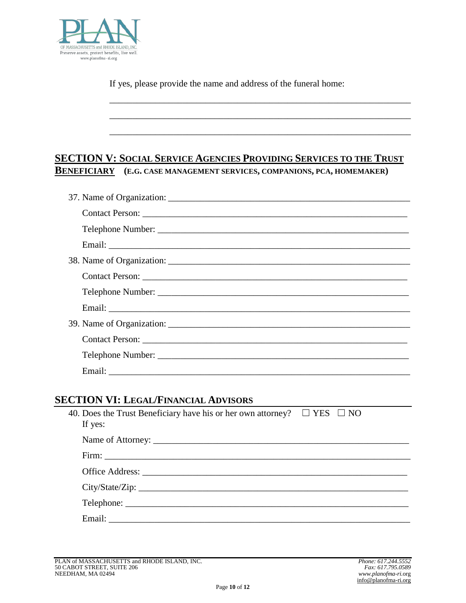If yes, please provide the name and address of the funeral home:

\_\_\_\_\_\_\_\_\_\_\_\_\_\_\_\_\_\_\_\_\_\_\_\_\_\_\_\_\_\_\_\_\_\_\_\_\_\_\_\_\_\_\_\_\_\_\_\_\_\_\_\_\_\_\_\_\_\_\_\_\_\_\_\_\_\_

\_\_\_\_\_\_*\_\_\_\_\_\_\_\_\_\_\_\_\_\_\_\_\_\_\_\_\_\_\_\_\_\_\_\_\_\_\_\_\_\_\_\_\_\_\_\_\_\_\_\_\_\_\_\_\_\_\_\_\_\_\_\_\_\_\_\_*

*\_\_\_\_\_\_\_\_\_\_\_\_\_\_\_\_\_\_\_\_\_\_\_\_\_\_\_\_\_\_\_\_\_\_\_\_\_\_\_\_\_\_\_\_\_\_\_\_\_\_\_\_\_\_\_\_\_\_\_\_\_\_\_\_\_\_*

## **SECTION V: SOCIAL SERVICE AGENCIES PROVIDING SERVICES TO THE TRUST BENEFICIARY (E.G. CASE MANAGEMENT SERVICES, COMPANIONS, PCA, HOMEMAKER)**

| Contact Person: |
|-----------------|
|                 |
|                 |

## **SECTION VI: LEGAL/FINANCIAL ADVISORS**

| 40. Does the Trust Beneficiary have his or her own attorney? $\square$ YES $\square$ NO<br>If yes: |  |
|----------------------------------------------------------------------------------------------------|--|
|                                                                                                    |  |
|                                                                                                    |  |
|                                                                                                    |  |
|                                                                                                    |  |
|                                                                                                    |  |
|                                                                                                    |  |

 $P(A \leq 1)$  **Phone:** 617.244.5552<br> **Phone:** 617.795.0589  $\&$  \$ % 2 7 6 7 5 ( $(7 \t 6 \t 8 \t 7)$  ( $1$  ( $' +$  \$ 0  $\int_{0}^{\infty}$   $\int_{0}^{\infty}$   $\int_{0}^{\infty}$   $\int_{0}^{\infty}$   $\int_{0}^{\infty}$   $\int_{0}^{\infty}$   $\int_{0}^{\infty}$   $\int_{0}^{\infty}$   $\int_{0}^{\infty}$   $\int_{0}^{\infty}$   $\int_{0}^{\infty}$   $\int_{0}^{\infty}$   $\int_{0}^{\infty}$ : \$7(50\$1675((768,7(48) 3529,  $\frac{\mu_1(\sqrt{3})}{\mu_1(\sqrt{3})^2}$  5, *www.planofma-ri.*org info@planofma-ri.org Page **10** of **12**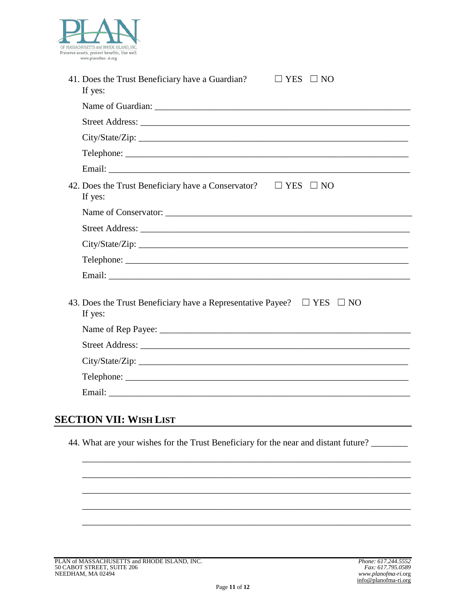

| 41. Does the Trust Beneficiary have a Guardian?<br>If yes:                                  | $\sqcup$ YES $\sqcup$ NO |
|---------------------------------------------------------------------------------------------|--------------------------|
|                                                                                             |                          |
|                                                                                             |                          |
| City/State/Zip:                                                                             |                          |
|                                                                                             |                          |
|                                                                                             |                          |
| 42. Does the Trust Beneficiary have a Conservator?<br>If yes:                               | $\Box$ YES $\Box$ NO     |
|                                                                                             |                          |
|                                                                                             |                          |
| City/State/Zip:                                                                             |                          |
|                                                                                             |                          |
|                                                                                             |                          |
| 43. Does the Trust Beneficiary have a Representative Payee? $\Box$ YES $\Box$ NO<br>If yes: |                          |
|                                                                                             |                          |
|                                                                                             |                          |
|                                                                                             |                          |
|                                                                                             |                          |
|                                                                                             |                          |
| . .                                                                                         |                          |

## **SECTION VII: WISH LIST**

44. What are your wishes for the Trust Beneficiary for the near and distant future?

\_\_\_\_\_\_\_\_\_\_\_\_\_\_\_\_\_\_\_\_\_\_\_\_\_\_\_\_\_\_\_\_\_\_\_\_\_\_\_\_\_\_\_\_\_\_\_\_\_\_\_\_\_\_\_\_\_\_\_\_\_\_\_\_\_\_\_\_\_\_\_\_

\_\_\_\_\_\_\_\_\_\_\_\_\_\_\_\_\_\_\_\_\_\_\_\_\_\_\_\_\_\_\_\_\_\_\_\_\_\_\_\_\_\_\_\_\_\_\_\_\_\_\_\_\_\_\_\_\_\_\_\_\_\_\_\_\_\_\_\_\_\_\_\_

\_\_\_\_\_\_\_\_\_\_\_\_\_\_\_\_\_\_\_\_\_\_\_\_\_\_\_\_\_\_\_\_\_\_\_\_\_\_\_\_\_\_\_\_\_\_\_\_\_\_\_\_\_\_\_\_\_\_\_\_\_\_\_\_\_\_\_\_\_\_\_\_

\_\_\_\_\_\_\_\_\_\_\_\_\_\_\_\_\_\_\_\_\_\_\_\_\_\_\_\_\_\_\_\_\_\_\_\_\_\_\_\_\_\_\_\_\_\_\_\_\_\_\_\_\_\_\_\_\_\_\_\_\_\_\_\_\_\_\_\_\_\_\_\_

\_\_\_\_\_\_\_\_\_\_\_\_\_\_\_\_\_\_\_\_\_\_\_\_\_\_\_\_\_\_\_\_\_\_\_\_\_\_\_\_\_\_\_\_\_\_\_\_\_\_\_\_\_\_\_\_\_\_\_\_\_\_\_\_\_\_\_\_\_\_\_\_

PLAN of MASSACHUSETTS and RHODE ISLAND, INC.